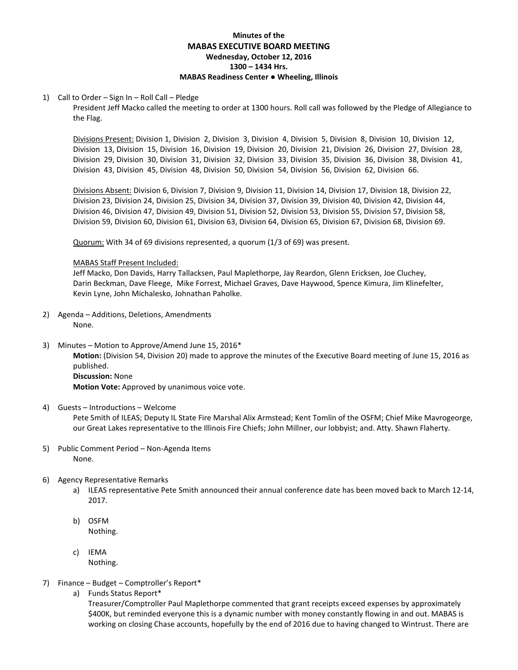# **Minutes of the MABAS EXECUTIVE BOARD MEETING Wednesday, October 12, 2016 1300 – 1434 Hrs. MABAS Readiness Center ● Wheeling, Illinois**

## 1) Call to Order – Sign In – Roll Call – Pledge

President Jeff Macko called the meeting to order at 1300 hours. Roll call was followed by the Pledge of Allegiance to the Flag.

Divisions Present: Division 1, Division 2, Division 3, Division 4, Division 5, Division 8, Division 10, Division 12, Division 13, Division 15, Division 16, Division 19, Division 20, Division 21, Division 26, Division 27, Division 28, Division 29, Division 30, Division 31, Division 32, Division 33, Division 35, Division 36, Division 38, Division 41, Division 43, Division 45, Division 48, Division 50, Division 54, Division 56, Division 62, Division 66.

Divisions Absent: Division 6, Division 7, Division 9, Division 11, Division 14, Division 17, Division 18, Division 22, Division 23, Division 24, Division 25, Division 34, Division 37, Division 39, Division 40, Division 42, Division 44, Division 46, Division 47, Division 49, Division 51, Division 52, Division 53, Division 55, Division 57, Division 58, Division 59, Division 60, Division 61, Division 63, Division 64, Division 65, Division 67, Division 68, Division 69.

Quorum: With 34 of 69 divisions represented, a quorum (1/3 of 69) was present.

## MABAS Staff Present Included:

Jeff Macko, Don Davids, Harry Tallacksen, Paul Maplethorpe, Jay Reardon, Glenn Ericksen, Joe Cluchey, Darin Beckman, Dave Fleege, Mike Forrest, Michael Graves, Dave Haywood, Spence Kimura, Jim Klinefelter, Kevin Lyne, John Michalesko, Johnathan Paholke.

- 2) Agenda Additions, Deletions, Amendments None.
- 3) Minutes Motion to Approve/Amend June 15, 2016\*

**Motion:** (Division 54, Division 20) made to approve the minutes of the Executive Board meeting of June 15, 2016 as published. **Discussion:** None

**Motion Vote:** Approved by unanimous voice vote.

# 4) Guests – Introductions – Welcome

Pete Smith of ILEAS; Deputy IL State Fire Marshal Alix Armstead; Kent Tomlin of the OSFM; Chief Mike Mavrogeorge, our Great Lakes representative to the Illinois Fire Chiefs; John Millner, our lobbyist; and. Atty. Shawn Flaherty.

- 5) Public Comment Period Non-Agenda Items None.
- 6) Agency Representative Remarks
	- a) ILEAS representative Pete Smith announced their annual conference date has been moved back to March 12-14, 2017.
	- b) OSFM Nothing.
	- c) IEMA Nothing.
- 7) Finance Budget Comptroller's Report\*
	- a) Funds Status Report\*

Treasurer/Comptroller Paul Maplethorpe commented that grant receipts exceed expenses by approximately \$400K, but reminded everyone this is a dynamic number with money constantly flowing in and out. MABAS is working on closing Chase accounts, hopefully by the end of 2016 due to having changed to Wintrust. There are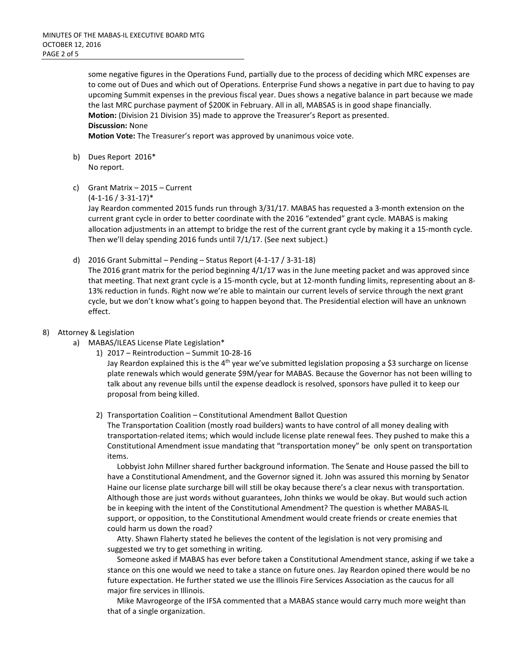some negative figures in the Operations Fund, partially due to the process of deciding which MRC expenses are to come out of Dues and which out of Operations. Enterprise Fund shows a negative in part due to having to pay upcoming Summit expenses in the previous fiscal year. Dues shows a negative balance in part because we made the last MRC purchase payment of \$200K in February. All in all, MABSAS is in good shape financially. **Motion:** (Division 21 Division 35) made to approve the Treasurer's Report as presented. **Discussion:** None

**Motion Vote:** The Treasurer's report was approved by unanimous voice vote.

- b) Dues Report 2016\* No report.
- c) Grant Matrix 2015 Current

(4-1-16 / 3-31-17)\*

Jay Reardon commented 2015 funds run through 3/31/17. MABAS has requested a 3-month extension on the current grant cycle in order to better coordinate with the 2016 "extended" grant cycle. MABAS is making allocation adjustments in an attempt to bridge the rest of the current grant cycle by making it a 15-month cycle. Then we'll delay spending 2016 funds until 7/1/17. (See next subject.)

d) 2016 Grant Submittal – Pending – Status Report (4-1-17 / 3-31-18)

The 2016 grant matrix for the period beginning 4/1/17 was in the June meeting packet and was approved since that meeting. That next grant cycle is a 15-month cycle, but at 12-month funding limits, representing about an 8- 13% reduction in funds. Right now we're able to maintain our current levels of service through the next grant cycle, but we don't know what's going to happen beyond that. The Presidential election will have an unknown effect.

## 8) Attorney & Legislation

- a) MABAS/ILEAS License Plate Legislation\*
	- 1) 2017 Reintroduction Summit 10-28-16

Jay Reardon explained this is the 4<sup>th</sup> year we've submitted legislation proposing a \$3 surcharge on license plate renewals which would generate \$9M/year for MABAS. Because the Governor has not been willing to talk about any revenue bills until the expense deadlock is resolved, sponsors have pulled it to keep our proposal from being killed.

## 2) Transportation Coalition – Constitutional Amendment Ballot Question

The Transportation Coalition (mostly road builders) wants to have control of all money dealing with transportation-related items; which would include license plate renewal fees. They pushed to make this a Constitutional Amendment issue mandating that "transportation money" be only spent on transportation items.

 Lobbyist John Millner shared further background information. The Senate and House passed the bill to have a Constitutional Amendment, and the Governor signed it. John was assured this morning by Senator Haine our license plate surcharge bill will still be okay because there's a clear nexus with transportation. Although those are just words without guarantees, John thinks we would be okay. But would such action be in keeping with the intent of the Constitutional Amendment? The question is whether MABAS-IL support, or opposition, to the Constitutional Amendment would create friends or create enemies that could harm us down the road?

 Atty. Shawn Flaherty stated he believes the content of the legislation is not very promising and suggested we try to get something in writing.

 Someone asked if MABAS has ever before taken a Constitutional Amendment stance, asking if we take a stance on this one would we need to take a stance on future ones. Jay Reardon opined there would be no future expectation. He further stated we use the Illinois Fire Services Association as the caucus for all major fire services in Illinois.

 Mike Mavrogeorge of the IFSA commented that a MABAS stance would carry much more weight than that of a single organization.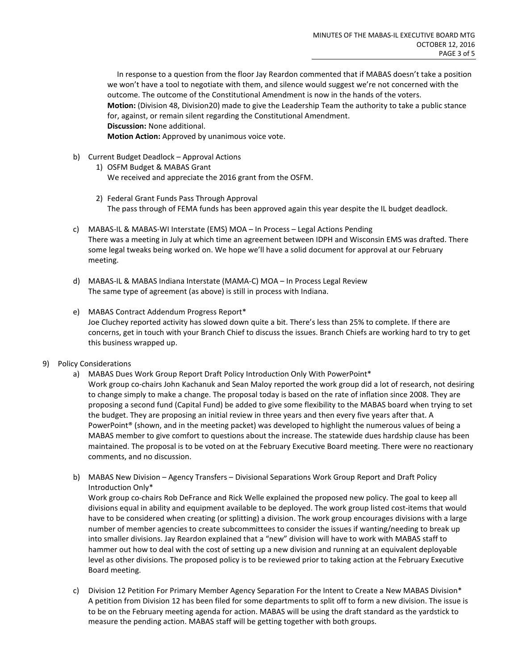In response to a question from the floor Jay Reardon commented that if MABAS doesn't take a position we won't have a tool to negotiate with them, and silence would suggest we're not concerned with the outcome. The outcome of the Constitutional Amendment is now in the hands of the voters. **Motion:** (Division 48, Division20) made to give the Leadership Team the authority to take a public stance for, against, or remain silent regarding the Constitutional Amendment. **Discussion:** None additional.

**Motion Action:** Approved by unanimous voice vote.

- b) Current Budget Deadlock Approval Actions
	- 1) OSFM Budget & MABAS Grant We received and appreciate the 2016 grant from the OSFM.
	- 2) Federal Grant Funds Pass Through Approval The pass through of FEMA funds has been approved again this year despite the IL budget deadlock.
- c) MABAS-IL & MABAS-WI Interstate (EMS) MOA In Process Legal Actions Pending There was a meeting in July at which time an agreement between IDPH and Wisconsin EMS was drafted. There some legal tweaks being worked on. We hope we'll have a solid document for approval at our February meeting.
- d) MABAS-IL & MABAS Indiana Interstate (MAMA-C) MOA In Process Legal Review The same type of agreement (as above) is still in process with Indiana.
- e) MABAS Contract Addendum Progress Report\* Joe Cluchey reported activity has slowed down quite a bit. There's less than 25% to complete. If there are concerns, get in touch with your Branch Chief to discuss the issues. Branch Chiefs are working hard to try to get this business wrapped up.
- 9) Policy Considerations
	- a) MABAS Dues Work Group Report Draft Policy Introduction Only With PowerPoint\* Work group co-chairs John Kachanuk and Sean Maloy reported the work group did a lot of research, not desiring to change simply to make a change. The proposal today is based on the rate of inflation since 2008. They are proposing a second fund (Capital Fund) be added to give some flexibility to the MABAS board when trying to set the budget. They are proposing an initial review in three years and then every five years after that. A PowerPoint® (shown, and in the meeting packet) was developed to highlight the numerous values of being a MABAS member to give comfort to questions about the increase. The statewide dues hardship clause has been maintained. The proposal is to be voted on at the February Executive Board meeting. There were no reactionary comments, and no discussion.
	- b) MABAS New Division Agency Transfers Divisional Separations Work Group Report and Draft Policy Introduction Only\*

Work group co-chairs Rob DeFrance and Rick Welle explained the proposed new policy. The goal to keep all divisions equal in ability and equipment available to be deployed. The work group listed cost-items that would have to be considered when creating (or splitting) a division. The work group encourages divisions with a large number of member agencies to create subcommittees to consider the issues if wanting/needing to break up into smaller divisions. Jay Reardon explained that a "new" division will have to work with MABAS staff to hammer out how to deal with the cost of setting up a new division and running at an equivalent deployable level as other divisions. The proposed policy is to be reviewed prior to taking action at the February Executive Board meeting.

c) Division 12 Petition For Primary Member Agency Separation For the Intent to Create a New MABAS Division\* A petition from Division 12 has been filed for some departments to split off to form a new division. The issue is to be on the February meeting agenda for action. MABAS will be using the draft standard as the yardstick to measure the pending action. MABAS staff will be getting together with both groups.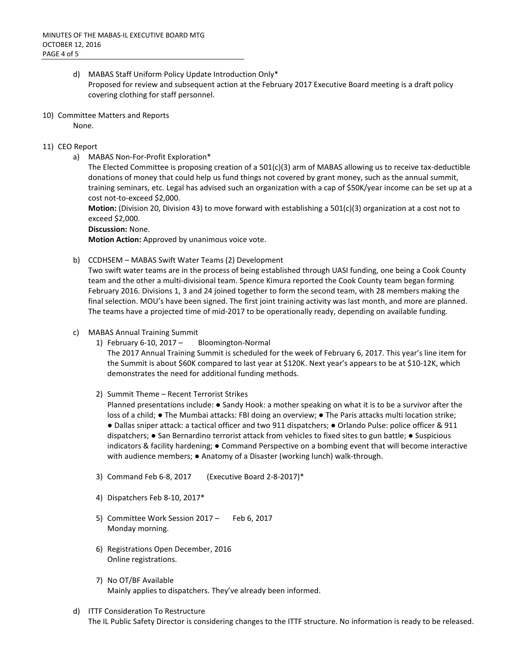- d) MABAS Staff Uniform Policy Update Introduction Only\* Proposed for review and subsequent action at the February 2017 Executive Board meeting is a draft policy covering clothing for staff personnel.
- 10) Committee Matters and Reports

None.

# 11) CEO Report

a) MABAS Non-For-Profit Exploration\*

The Elected Committee is proposing creation of a 501(c)(3) arm of MABAS allowing us to receive tax-deductible donations of money that could help us fund things not covered by grant money, such as the annual summit, training seminars, etc. Legal has advised such an organization with a cap of \$50K/year income can be set up at a cost not-to-exceed \$2,000.

**Motion:** (Division 20, Division 43) to move forward with establishing a 501(c)(3) organization at a cost not to exceed \$2,000.

**Discussion:** None.

**Motion Action:** Approved by unanimous voice vote.

b) CCDHSEM – MABAS Swift Water Teams (2) Development

Two swift water teams are in the process of being established through UASI funding, one being a Cook County team and the other a multi-divisional team. Spence Kimura reported the Cook County team began forming February 2016. Divisions 1, 3 and 24 joined together to form the second team, with 28 members making the final selection. MOU's have been signed. The first joint training activity was last month, and more are planned. The teams have a projected time of mid-2017 to be operationally ready, depending on available funding.

- c) MABAS Annual Training Summit
	- 1) February 6-10, 2017 Bloomington-Normal

The 2017 Annual Training Summit is scheduled for the week of February 6, 2017. This year's line item for the Summit is about \$60K compared to last year at \$120K. Next year's appears to be at \$10-12K, which demonstrates the need for additional funding methods.

2) Summit Theme – Recent Terrorist Strikes

Planned presentations include: ● Sandy Hook: a mother speaking on what it is to be a survivor after the loss of a child; ● The Mumbai attacks: FBI doing an overview; ● The Paris attacks multi location strike; ● Dallas sniper attack: a tactical officer and two 911 dispatchers; ● Orlando Pulse: police officer & 911 dispatchers; ● San Bernardino terrorist attack from vehicles to fixed sites to gun battle; ● Suspicious indicators & facility hardening; ● Command Perspective on a bombing event that will become interactive with audience members; ● Anatomy of a Disaster (working lunch) walk-through.

- 3) Command Feb 6-8, 2017 (Executive Board 2-8-2017)\*
- 4) Dispatchers Feb 8-10, 2017\*
- 5) Committee Work Session 2017 Feb 6, 2017 Monday morning.
- 6) Registrations Open December, 2016 Online registrations.
- 7) No OT/BF Available Mainly applies to dispatchers. They've already been informed.
- d) ITTF Consideration To Restructure The IL Public Safety Director is considering changes to the ITTF structure. No information is ready to be released.